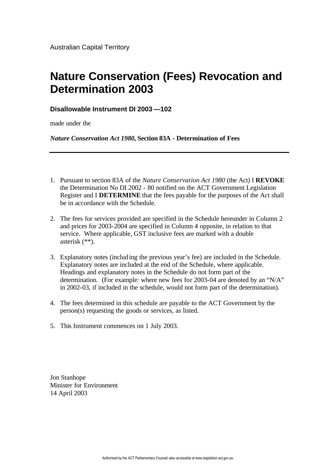# **Nature Conservation (Fees) Revocation and Determination 2003**

# **Disallowable Instrument DI 2003 —102**

made under the

*Nature Conservation Act 1980,* **Section 83A - Determination of Fees**

- 1. Pursuant to section 83A of the *Nature Conservation Act 1980* (the Act) I **REVOKE** the Determination No DI 2002 - 80 notified on the ACT Government Legislation Register and I **DETERMINE** that the fees payable for the purposes of the Act shall be in accordance with the Schedule.
- 2. The fees for services provided are specified in the Schedule hereunder in Column 2 and prices for 2003-2004 are specified in Column 4 opposite, in relation to that service. Where applicable, GST inclusive fees are marked with a double asterisk (\*\*).
- 3. Explanatory notes (including the previous year's fee) are included in the Schedule. Explanatory notes are included at the end of the Schedule, where applicable. Headings and explanatory notes in the Schedule do not form part of the determination. (For example: where new fees for 2003-04 are denoted by an "N/A" in 2002-03, if included in the schedule, would not form part of the determination).
- 4. The fees determined in this schedule are payable to the ACT Government by the person(s) requesting the goods or services, as listed.
- 5. This Instrument commences on 1 July 2003.

Jon Stanhope Minister for Environment 14 April 2003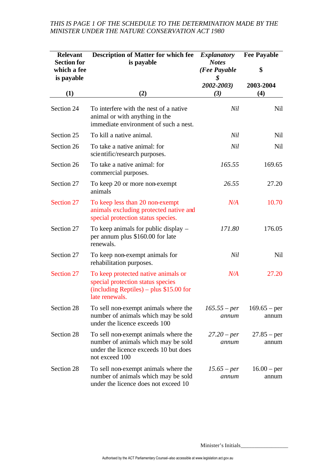# *THIS IS PAGE 1 OF THE SCHEDULE TO THE DETERMINATION MADE BY THE MINISTER UNDER THE NATURE CONSERVATION ACT 1980*

| <b>Relevant</b><br><b>Section for</b><br>which a fee<br>is payable | <b>Description of Matter for which fee</b><br>is payable                                                                                                | <b>Explanatory</b><br><b>Notes</b><br>(Fee Payable<br>\$ | <b>Fee Payable</b><br>\$ |
|--------------------------------------------------------------------|---------------------------------------------------------------------------------------------------------------------------------------------------------|----------------------------------------------------------|--------------------------|
|                                                                    |                                                                                                                                                         | 2002-2003)                                               | 2003-2004                |
| (1)                                                                | (2)                                                                                                                                                     | (3)                                                      | (4)                      |
| Section 24                                                         | To interfere with the nest of a native.<br>animal or with anything in the<br>immediate environment of such a nest.                                      | Nil                                                      | Nil                      |
| Section 25                                                         | To kill a native animal.                                                                                                                                | Nil                                                      | Nil                      |
| Section 26                                                         | To take a native animal: for<br>scientific/research purposes.                                                                                           | Nil                                                      | Nil                      |
| Section 26                                                         | To take a native animal: for<br>commercial purposes.                                                                                                    | 165.55                                                   | 169.65                   |
| Section 27                                                         | To keep 20 or more non-exempt<br>animals                                                                                                                | 26.55                                                    | 27.20                    |
| Section 27                                                         | To keep less than 20 non-exempt<br>animals excluding protected native and<br>special protection status species.                                         | N/A                                                      | 10.70                    |
| Section 27                                                         | To keep animals for public display –<br>per annum plus \$160.00 for late<br>renewals.                                                                   | 171.80                                                   | 176.05                   |
| Section 27                                                         | To keep non-exempt animals for<br>rehabilitation purposes.                                                                                              | Nil                                                      | Nil                      |
| Section 27                                                         | To keep protected native animals or<br>special protection status species<br>$(including \text{ Reptides}) - plus \$15.00 \text{ for}$<br>late renewals. | N/A                                                      | 27.20                    |
| Section 28                                                         | To sell non-exempt animals where the<br>number of animals which may be sold<br>under the licence exceeds 100                                            | $165.55 - per$<br>annum                                  | $169.65 - per$<br>annum  |
| Section 28                                                         | To sell non-exempt animals where the<br>number of animals which may be sold<br>under the licence exceeds 10 but does<br>not exceed 100                  | $27.20$ – per<br>annum                                   | $27.85 - per$<br>annum   |
| Section 28                                                         | To sell non-exempt animals where the<br>number of animals which may be sold<br>under the licence does not exceed 10                                     | $15.65$ – per<br>annum                                   | $16.00 - per$<br>annum   |

Minister's Initials\_\_\_\_\_\_\_\_\_\_\_\_\_\_\_\_\_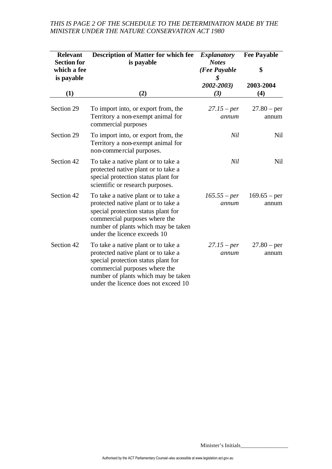| <b>Relevant</b><br><b>Section for</b><br>which a fee<br>is payable | <b>Description of Matter for which fee</b><br>is payable                                                                                                                                                                          | <b>Explanatory</b><br><b>Notes</b><br>(Fee Payable<br>\$ | <b>Fee Payable</b><br>\$ |
|--------------------------------------------------------------------|-----------------------------------------------------------------------------------------------------------------------------------------------------------------------------------------------------------------------------------|----------------------------------------------------------|--------------------------|
| (1)                                                                | (2)                                                                                                                                                                                                                               | 2002-2003)<br>(3)                                        | 2003-2004<br>(4)         |
| Section 29                                                         | To import into, or export from, the<br>Territory a non-exempt animal for<br>commercial purposes                                                                                                                                   | $27.15$ – per<br>annum                                   | $27.80 - per$<br>annum   |
| Section 29                                                         | To import into, or export from, the<br>Territory a non-exempt animal for<br>non-commercial purposes.                                                                                                                              | Nil                                                      | Nil                      |
| Section 42                                                         | To take a native plant or to take a<br>protected native plant or to take a<br>special protection status plant for<br>scientific or research purposes.                                                                             | Nil                                                      | <b>Nil</b>               |
| Section 42                                                         | To take a native plant or to take a<br>protected native plant or to take a<br>special protection status plant for<br>commercial purposes where the<br>number of plants which may be taken<br>under the licence exceeds 10         | $165.55 - per$<br>annum                                  | $169.65 - per$<br>annum  |
| Section 42                                                         | To take a native plant or to take a<br>protected native plant or to take a<br>special protection status plant for<br>commercial purposes where the<br>number of plants which may be taken<br>under the licence does not exceed 10 | $27.15$ – per<br>annum                                   | $27.80 - per$<br>annum   |

# *THIS IS PAGE 2 OF THE SCHEDULE TO THE DETERMINATION MADE BY THE MINISTER UNDER THE NATURE CONSERVATION ACT 1980*